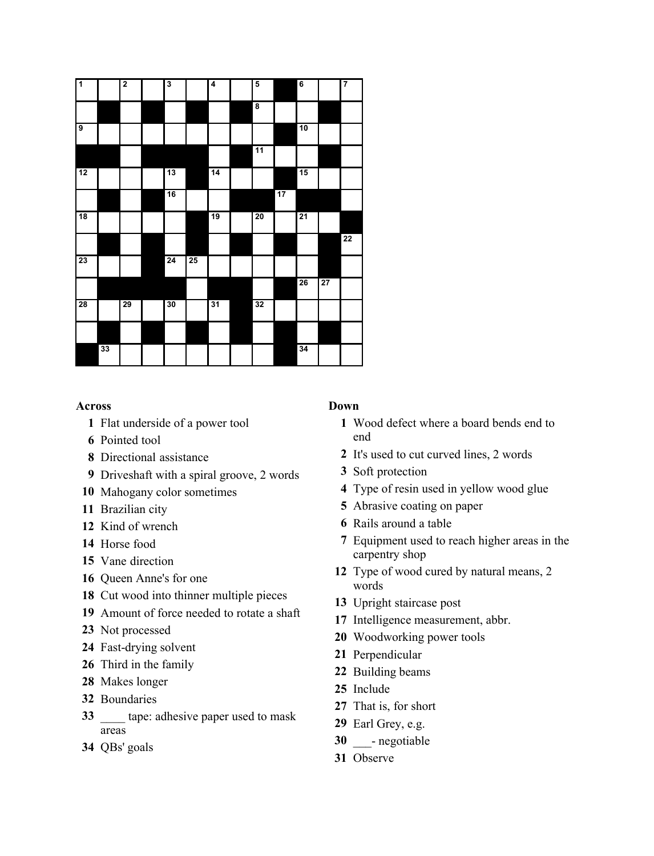| $\overline{1}$          |    | $\overline{2}$ | $\overline{\mathbf{3}}$ |    | 4               | 5                       |    | $6\phantom{1}6$ |    | 7  |
|-------------------------|----|----------------|-------------------------|----|-----------------|-------------------------|----|-----------------|----|----|
|                         |    |                |                         |    |                 | $\overline{\mathbf{8}}$ |    |                 |    |    |
| $\overline{\mathbf{g}}$ |    |                |                         |    |                 |                         |    | 10              |    |    |
|                         |    |                |                         |    |                 | 11                      |    |                 |    |    |
| 12                      |    |                | 13                      |    | 14              |                         |    | 15              |    |    |
|                         |    |                | 16                      |    |                 |                         | 17 |                 |    |    |
| 18                      |    |                |                         |    | $\overline{19}$ | 20                      |    | $\overline{21}$ |    |    |
|                         |    |                |                         |    |                 |                         |    |                 |    | 22 |
| $\overline{23}$         |    |                | 24                      | 25 |                 |                         |    |                 |    |    |
|                         |    |                |                         |    |                 |                         |    | 26              | 27 |    |
| $\overline{28}$         |    | 29             | 30                      |    | 31              | 32                      |    |                 |    |    |
|                         |    |                |                         |    |                 |                         |    |                 |    |    |
|                         | 33 |                |                         |    |                 |                         |    | 34              |    |    |

## **Across**

- Flat underside of a power tool
- Pointed tool
- Directional assistance
- Driveshaft with a spiral groove, 2 words
- Mahogany color sometimes
- Brazilian city
- Kind of wrench
- Horse food
- Vane direction
- Queen Anne's for one
- Cut wood into thinner multiple pieces
- Amount of force needed to rotate a shaft
- Not processed
- Fast-drying solvent
- Third in the family
- Makes longer
- Boundaries
- \_\_\_\_ tape: adhesive paper used to mask areas
- QBs' goals

## **Down**

- Wood defect where a board bends end to end
- It's used to cut curved lines, 2 words
- Soft protection
- Type of resin used in yellow wood glue
- Abrasive coating on paper
- Rails around a table
- Equipment used to reach higher areas in the carpentry shop
- Type of wood cured by natural means, 2 words
- Upright staircase post
- Intelligence measurement, abbr.
- Woodworking power tools
- Perpendicular
- Building beams
- Include
- That is, for short
- Earl Grey, e.g.
- 30 negotiable
- Observe